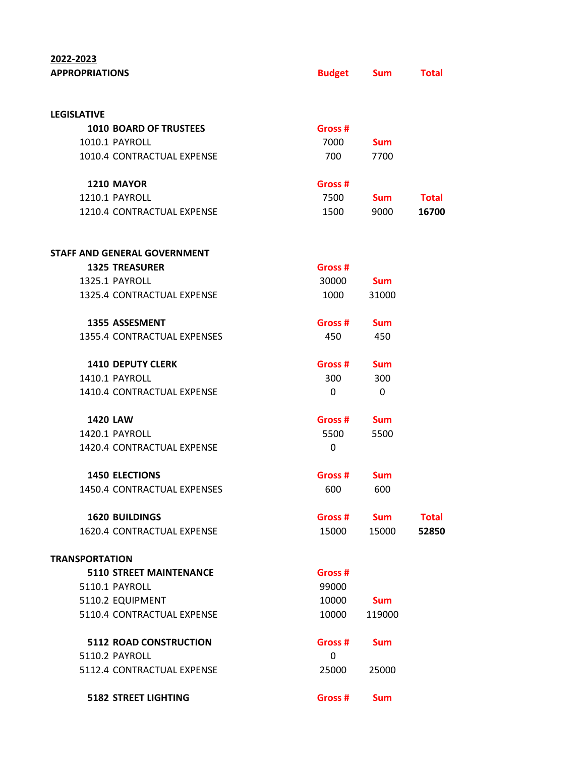## **2022-2023**

| <b>APPROPRIATIONS</b> |                                     | <b>Budget</b> | <b>Sum</b> | <b>Total</b> |
|-----------------------|-------------------------------------|---------------|------------|--------------|
|                       |                                     |               |            |              |
| <b>LEGISLATIVE</b>    |                                     |               |            |              |
|                       | <b>1010 BOARD OF TRUSTEES</b>       | Gross #       |            |              |
|                       | 1010.1 PAYROLL                      | 7000          | <b>Sum</b> |              |
|                       | 1010.4 CONTRACTUAL EXPENSE          | 700           | 7700       |              |
|                       | <b>1210 MAYOR</b>                   | Gross #       |            |              |
|                       | 1210.1 PAYROLL                      | 7500          | <b>Sum</b> | <b>Total</b> |
|                       | 1210.4 CONTRACTUAL EXPENSE          | 1500          | 9000       | 16700        |
|                       | <b>STAFF AND GENERAL GOVERNMENT</b> |               |            |              |
|                       | <b>1325 TREASURER</b>               | Gross #       |            |              |
|                       | 1325.1 PAYROLL                      | 30000         | <b>Sum</b> |              |
|                       | 1325.4 CONTRACTUAL EXPENSE          | 1000          | 31000      |              |
|                       | <b>1355 ASSESMENT</b>               | Gross #       | <b>Sum</b> |              |
|                       | 1355.4 CONTRACTUAL EXPENSES         | 450           | 450        |              |
|                       | <b>1410 DEPUTY CLERK</b>            | Gross #       | <b>Sum</b> |              |
|                       | <b>1410.1 PAYROLL</b>               | 300           | 300        |              |
|                       | 1410.4 CONTRACTUAL EXPENSE          | 0             | 0          |              |
|                       | <b>1420 LAW</b>                     | Gross #       | <b>Sum</b> |              |
|                       | 1420.1 PAYROLL                      | 5500          | 5500       |              |
|                       | 1420.4 CONTRACTUAL EXPENSE          | 0             |            |              |
|                       | <b>1450 ELECTIONS</b>               | Gross #       | <b>Sum</b> |              |
|                       | 1450.4 CONTRACTUAL EXPENSES         | 600           | 600        |              |
|                       | <b>1620 BUILDINGS</b>               | Gross #       | <b>Sum</b> | <b>Total</b> |
|                       | 1620.4 CONTRACTUAL EXPENSE          | 15000         | 15000      | 52850        |
| <b>TRANSPORTATION</b> |                                     |               |            |              |
|                       | <b>5110 STREET MAINTENANCE</b>      | Gross #       |            |              |
|                       | 5110.1 PAYROLL                      | 99000         |            |              |
|                       | 5110.2 EQUIPMENT                    | 10000         | <b>Sum</b> |              |
|                       | 5110.4 CONTRACTUAL EXPENSE          | 10000         | 119000     |              |
|                       | <b>5112 ROAD CONSTRUCTION</b>       | Gross #       | <b>Sum</b> |              |
|                       | 5110.2 PAYROLL                      | 0             |            |              |
|                       | 5112.4 CONTRACTUAL EXPENSE          | 25000         | 25000      |              |
|                       | <b>5182 STREET LIGHTING</b>         | Gross #       | <b>Sum</b> |              |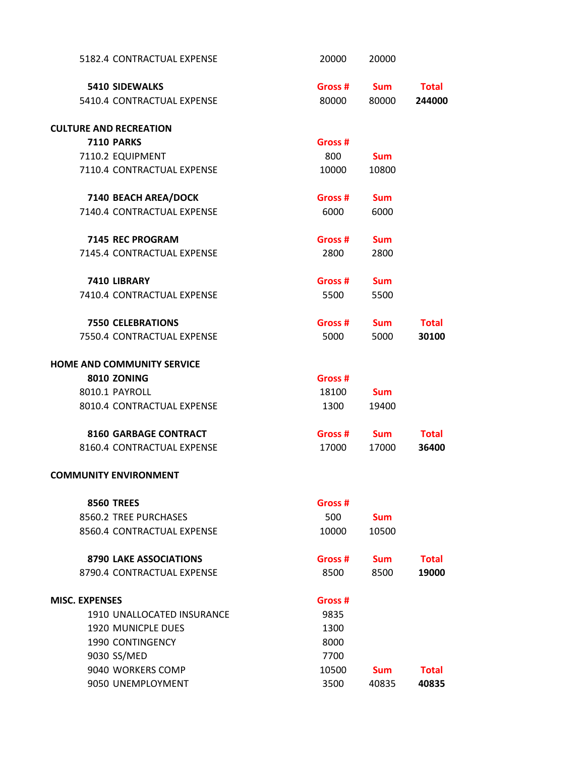| 5182.4 CONTRACTUAL EXPENSE    | 20000   | 20000      |              |
|-------------------------------|---------|------------|--------------|
| <b>5410 SIDEWALKS</b>         | Gross # | <b>Sum</b> | <b>Total</b> |
| 5410.4 CONTRACTUAL EXPENSE    | 80000   | 80000      | 244000       |
| <b>CULTURE AND RECREATION</b> |         |            |              |
| <b>7110 PARKS</b>             | Gross # |            |              |
| 7110.2 EQUIPMENT              | 800     | <b>Sum</b> |              |
| 7110.4 CONTRACTUAL EXPENSE    | 10000   | 10800      |              |
| 7140 BEACH AREA/DOCK          | Gross # | <b>Sum</b> |              |
| 7140.4 CONTRACTUAL EXPENSE    | 6000    | 6000       |              |
| 7145 REC PROGRAM              | Gross # | <b>Sum</b> |              |
| 7145.4 CONTRACTUAL EXPENSE    | 2800    | 2800       |              |
| 7410 LIBRARY                  | Gross # | <b>Sum</b> |              |
| 7410.4 CONTRACTUAL EXPENSE    | 5500    | 5500       |              |
| <b>7550 CELEBRATIONS</b>      | Gross # | <b>Sum</b> | <b>Total</b> |
| 7550.4 CONTRACTUAL EXPENSE    | 5000    | 5000       | 30100        |
| HOME AND COMMUNITY SERVICE    |         |            |              |
| 8010 ZONING                   | Gross # |            |              |
| 8010.1 PAYROLL                | 18100   | <b>Sum</b> |              |
| 8010.4 CONTRACTUAL EXPENSE    | 1300    | 19400      |              |
| <b>8160 GARBAGE CONTRACT</b>  | Gross # | <b>Sum</b> | <b>Total</b> |
| 8160.4 CONTRACTUAL EXPENSE    | 17000   | 17000      | 36400        |
| <b>COMMUNITY ENVIRONMENT</b>  |         |            |              |
| <b>8560 TREES</b>             | Gross # |            |              |
| 8560.2 TREE PURCHASES         | 500     | <b>Sum</b> |              |
| 8560.4 CONTRACTUAL EXPENSE    | 10000   | 10500      |              |
| <b>8790 LAKE ASSOCIATIONS</b> | Gross # | <b>Sum</b> | <b>Total</b> |
| 8790.4 CONTRACTUAL EXPENSE    | 8500    | 8500       | 19000        |
| <b>MISC. EXPENSES</b>         | Gross # |            |              |
| 1910 UNALLOCATED INSURANCE    | 9835    |            |              |
| <b>1920 MUNICPLE DUES</b>     | 1300    |            |              |
| <b>1990 CONTINGENCY</b>       | 8000    |            |              |
| 9030 SS/MED                   | 7700    |            |              |
| 9040 WORKERS COMP             | 10500   | <b>Sum</b> | <b>Total</b> |

9050 UNEMPLOYMENT 3500 40835 **40835**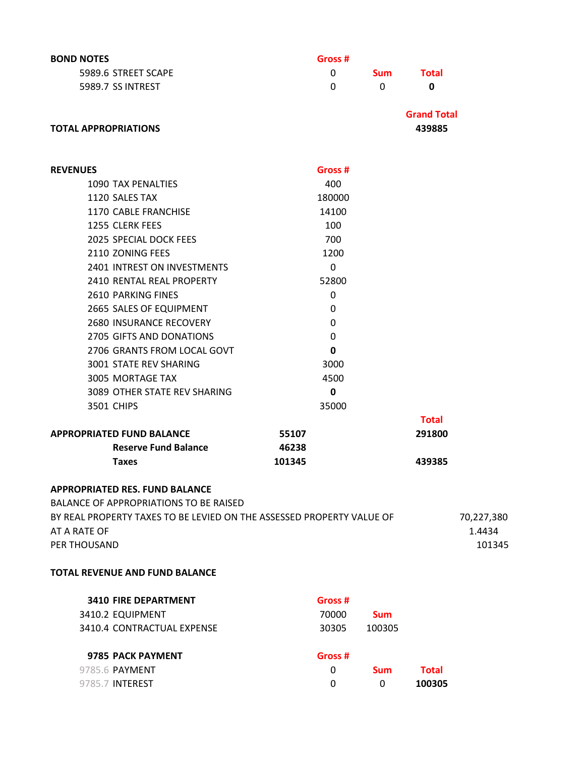| <b>BOND NOTES</b>                                                     | Gross #      |              |                    |            |
|-----------------------------------------------------------------------|--------------|--------------|--------------------|------------|
| 5989.6 STREET SCAPE                                                   | 0            | <b>Sum</b>   | <b>Total</b>       |            |
| 5989.7 SS INTREST                                                     | 0            | $\mathbf{0}$ | $\mathbf 0$        |            |
|                                                                       |              |              | <b>Grand Total</b> |            |
| <b>TOTAL APPROPRIATIONS</b>                                           |              |              | 439885             |            |
|                                                                       |              |              |                    |            |
| <b>REVENUES</b>                                                       | Gross #      |              |                    |            |
| 1090 TAX PENALTIES                                                    | 400          |              |                    |            |
| 1120 SALES TAX                                                        | 180000       |              |                    |            |
| 1170 CABLE FRANCHISE                                                  | 14100        |              |                    |            |
| 1255 CLERK FEES                                                       | 100          |              |                    |            |
| 2025 SPECIAL DOCK FEES                                                | 700          |              |                    |            |
| 2110 ZONING FEES                                                      | 1200         |              |                    |            |
| 2401 INTREST ON INVESTMENTS                                           | $\mathbf{0}$ |              |                    |            |
| 2410 RENTAL REAL PROPERTY                                             | 52800        |              |                    |            |
| <b>2610 PARKING FINES</b>                                             | 0            |              |                    |            |
| 2665 SALES OF EQUIPMENT                                               | 0            |              |                    |            |
| <b>2680 INSURANCE RECOVERY</b>                                        | 0            |              |                    |            |
| 2705 GIFTS AND DONATIONS                                              | 0            |              |                    |            |
| 2706 GRANTS FROM LOCAL GOVT                                           | 0            |              |                    |            |
| 3001 STATE REV SHARING                                                | 3000         |              |                    |            |
| 3005 MORTAGE TAX                                                      | 4500         |              |                    |            |
| 3089 OTHER STATE REV SHARING                                          | 0            |              |                    |            |
| <b>3501 CHIPS</b>                                                     | 35000        |              |                    |            |
|                                                                       |              |              | <b>Total</b>       |            |
| <b>APPROPRIATED FUND BALANCE</b>                                      | 55107        |              | 291800             |            |
| <b>Reserve Fund Balance</b>                                           | 46238        |              |                    |            |
| <b>Taxes</b>                                                          | 101345       |              | 439385             |            |
|                                                                       |              |              |                    |            |
| <b>APPROPRIATED RES. FUND BALANCE</b>                                 |              |              |                    |            |
| BALANCE OF APPROPRIATIONS TO BE RAISED                                |              |              |                    |            |
| BY REAL PROPERTY TAXES TO BE LEVIED ON THE ASSESSED PROPERTY VALUE OF |              |              |                    | 70,227,380 |
| AT A RATE OF                                                          |              |              |                    | 1.4434     |
| PER THOUSAND                                                          |              |              |                    | 101345     |
| <b>TOTAL REVENUE AND FUND BALANCE</b>                                 |              |              |                    |            |
| <b>3410 FIRE DEPARTMENT</b>                                           | Gross #      |              |                    |            |
| 3410.2 EQUIPMENT                                                      | 70000        | <b>Sum</b>   |                    |            |
| 3410.4 CONTRACTUAL EXPENSE                                            | 30305        | 100305       |                    |            |
| 9785 PACK PAYMENT                                                     | Gross #      |              |                    |            |
| 9785.6 PAYMENT                                                        | $\mathbf{0}$ | <b>Sum</b>   | <b>Total</b>       |            |

9785.7 INTEREST 0 0 **100305**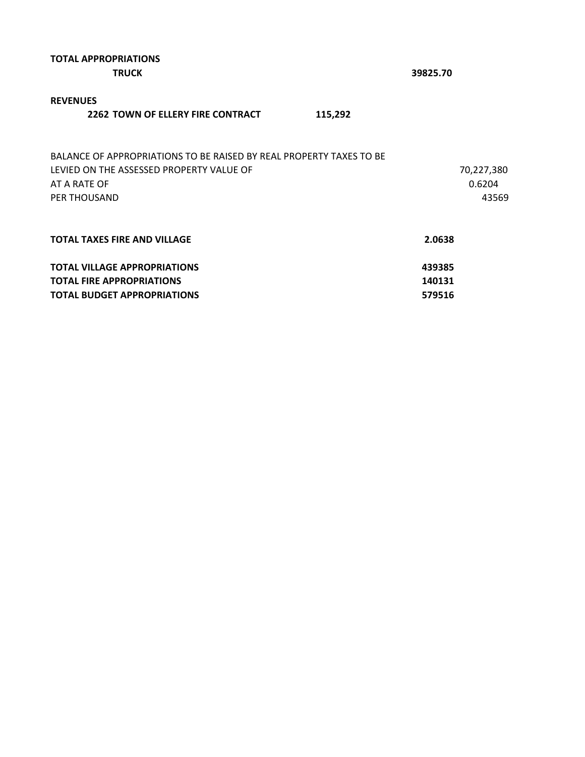| <b>TOTAL APPROPRIATIONS</b><br><b>TRUCK</b>                                                                                                     | 39825.70                      |
|-------------------------------------------------------------------------------------------------------------------------------------------------|-------------------------------|
| <b>REVENUES</b><br><b>2262 TOWN OF ELLERY FIRE CONTRACT</b><br>115,292                                                                          |                               |
| BALANCE OF APPROPRIATIONS TO BE RAISED BY REAL PROPERTY TAXES TO BE<br>LEVIED ON THE ASSESSED PROPERTY VALUE OF<br>AT A RATE OF<br>PER THOUSAND | 70,227,380<br>0.6204<br>43569 |
| <b>TOTAL TAXES FIRE AND VILLAGE</b>                                                                                                             | 2.0638                        |
| <b>TOTAL VILLAGE APPROPRIATIONS</b><br><b>TOTAL FIRE APPROPRIATIONS</b>                                                                         | 439385<br>140131              |
| <b>TOTAL BUDGET APPROPRIATIONS</b>                                                                                                              | 579516                        |